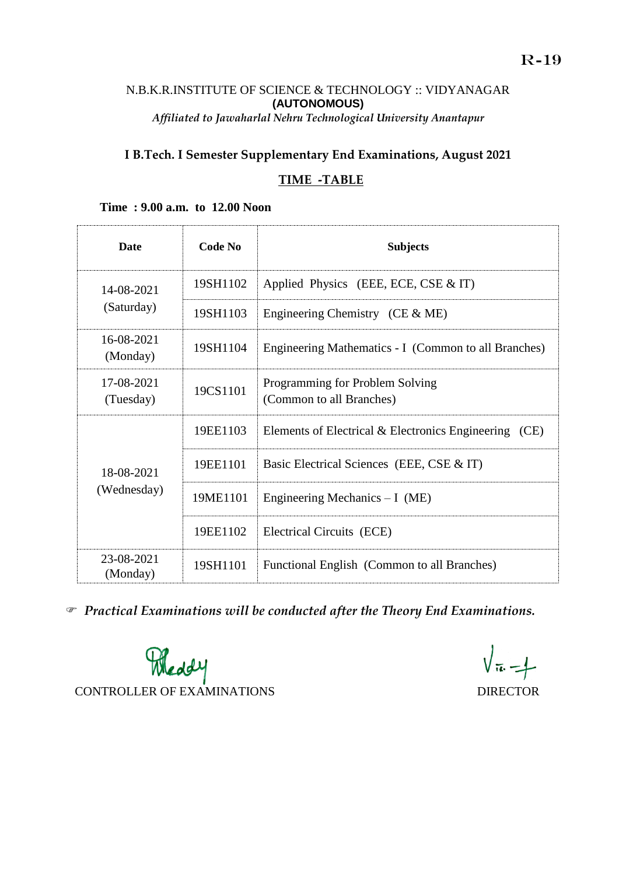## N.B.K.R.INSTITUTE OF SCIENCE & TECHNOLOGY :: VIDYANAGAR **(AUTONOMOUS)** *Affiliated to Jawaharlal Nehru Technological University Anantapur*

## **I B.Tech. I Semester Supplementary End Examinations, August 2021**

## **TIME -TABLE**

# **Date Code No Subjects** 14-08-2021 (Saturday) 19SH1102 Applied Physics (EEE, ECE, CSE & IT) 19SH1103 Engineering Chemistry (CE & ME) 16-08-2021  $(198H1104 \mid 198H1104 \mid$  Engineering Mathematics - I (Common to all Branches) 17-08-2021  $(7-08-2021$  19CS1101 Programming for Problem Solving<br>(Common to all Branches) (Common to all Branches) 18-08-2021 (Wednesday) 19EE1103 Elements of Electrical & Electronics Engineering (CE) 19EE1101 | Basic Electrical Sciences (EEE, CSE & IT) 19ME1101 Engineering Mechanics – I (ME) 19EE1102 Electrical Circuits (ECE) 23-08-2021  $\begin{array}{c|c}\n\text{(Monday)} \\
\text{(Monday)}\n\end{array}$  19SH1101 Functional English (Common to all Branches)

#### **Time : 9.00 a.m. to 12.00 Noon**

*Practical Examinations will be conducted after the Theory End Examinations.* 



 $\sqrt{\pi} - 1$